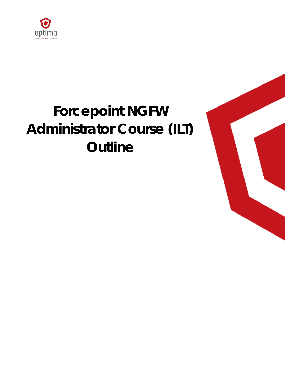

# **Forcepoint NGFW Administrator Course (ILT) Outline**

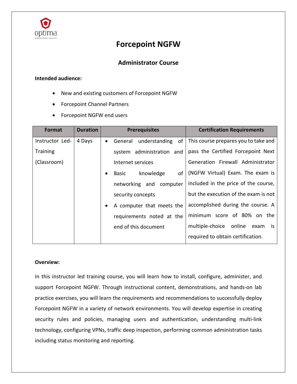

# **Forcepoint NGFW**

# **Administrator Course**

#### **Intended audience:**

- New and existing customers of Forcepoint NGFW
- Forcepoint Channel Partners
- Forcepoint NGFW end users

| Format          | <b>Duration</b> | <b>Prerequisites</b>                        | <b>Certification Requirements</b>        |
|-----------------|-----------------|---------------------------------------------|------------------------------------------|
| Instructor Led- | 4 Days          | understanding<br>General<br>of<br>$\bullet$ | This course prepares you to take and     |
| <b>Training</b> |                 | system administration and                   | pass the Certified Forcepoint Next       |
| (Classroom)     |                 | Internet services                           | Generation Firewall Administrator        |
|                 |                 | knowledge<br>of I<br>Basic<br>$\bullet$     | (NGFW Virtual) Exam. The exam is         |
|                 |                 | networking and computer                     | included in the price of the course,     |
|                 |                 | security concepts                           | but the execution of the exam is not     |
|                 |                 | A computer that meets the<br>$\bullet$      | accomplished during the course. A        |
|                 |                 | requirements noted at the                   | minimum score of 80% on the              |
|                 |                 | end of this document                        | multiple-choice<br>online<br>exam<br>is. |
|                 |                 |                                             | required to obtain certification.        |

#### **Overview:**

In this instructor led training course, you will learn how to install, configure, administer, and support Forcepoint NGFW. Through instructional content, demonstrations, and hands-on lab practice exercises, you will learn the requirements and recommendations to successfully deploy Forcepoint NGFW in a variety of network environments. You will develop expertise in creating security rules and policies, managing users and authentication, understanding multi-link technology, configuring VPNs, traffic deep inspection, performing common administration tasks including status monitoring and reporting.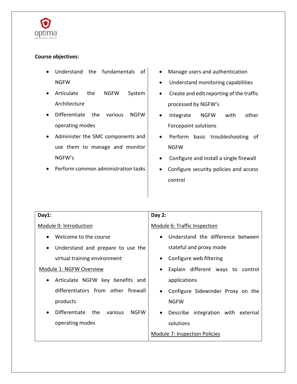

# **Course objectives:**

- Understand the fundamentals of NGFW
- Articulate the NGFW System Architecture
- Differentiate the various NGFW operating modes
- Administer the SMC components and use them to manage and monitor NGFW's
- Perform common administration tasks
- Manage users and authentication
- Understand monitoring capabilities
- Create and edit reporting of the traffic processed by NGFW's
- Integrate NGFW with other Forcepoint solutions
- Perform basic troubleshooting of NGFW
- Configure and install a single firewall
- Configure security policies and access control

| Day1:                                                                     | Day 2:                                             |  |
|---------------------------------------------------------------------------|----------------------------------------------------|--|
| Module 0: Introduction                                                    | Module 6: Traffic Inspection                       |  |
| Welcome to the course<br>$\bullet$                                        | Understand the difference between<br>$\bullet$     |  |
| Understand and prepare to use the<br>$\bullet$                            | stateful and proxy mode                            |  |
| virtual training environment                                              | Configure web filtering<br>$\bullet$               |  |
| Module 1: NGFW Overview<br>Explain different ways to control<br>$\bullet$ |                                                    |  |
| Articulate NGFW key benefits and<br>$\bullet$                             | applications                                       |  |
| differentiators from other firewall                                       | Configure Sidewinder Proxy on the<br>$\bullet$     |  |
| products                                                                  | <b>NGFW</b>                                        |  |
| <b>Differentiate</b><br>the<br>various<br><b>NGFW</b><br>$\bullet$        | integration with external<br>Describe<br>$\bullet$ |  |
| solutions<br>operating modes                                              |                                                    |  |
| <b>Module 7: Inspection Policies</b>                                      |                                                    |  |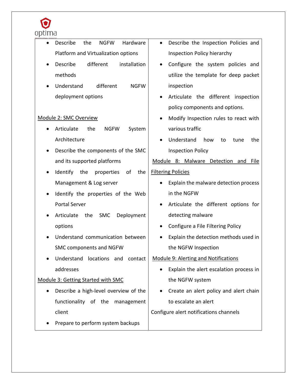

| Describe<br>Hardware<br>the<br><b>NGFW</b><br>$\bullet$                         | Describe the Inspection Policies and<br>$\bullet$ |  |  |
|---------------------------------------------------------------------------------|---------------------------------------------------|--|--|
| Platform and Virtualization options                                             | <b>Inspection Policy hierarchy</b>                |  |  |
| different<br>Describe<br>installation                                           | Configure the system policies and                 |  |  |
| methods                                                                         | utilize the template for deep packet              |  |  |
| different<br>Understand<br><b>NGFW</b>                                          | inspection                                        |  |  |
| deployment options                                                              | Articulate the different inspection               |  |  |
|                                                                                 | policy components and options.                    |  |  |
| Module 2: SMC Overview                                                          | Modify Inspection rules to react with             |  |  |
| Articulate<br>the<br><b>NGFW</b><br>System                                      | various traffic                                   |  |  |
| Architecture                                                                    | Understand<br>how<br>the<br>to<br>tune            |  |  |
| Describe the components of the SMC                                              | <b>Inspection Policy</b>                          |  |  |
| and its supported platforms<br>Module 8: Malware Detection and<br>File          |                                                   |  |  |
| <b>Filtering Policies</b><br>Identify<br>of<br>the<br>the<br>properties         |                                                   |  |  |
| Management & Log server<br>Explain the malware detection process                |                                                   |  |  |
| in the NGFW<br>Identify the properties of the Web                               |                                                   |  |  |
| <b>Portal Server</b>                                                            | Articulate the different options for              |  |  |
| Articulate<br>the<br><b>SMC</b><br>Deployment                                   | detecting malware                                 |  |  |
| options                                                                         | Configure a File Filtering Policy                 |  |  |
| Understand communication between                                                | Explain the detection methods used in             |  |  |
| SMC components and NGFW<br>the NGFW Inspection                                  |                                                   |  |  |
| Module 9: Alerting and Notifications<br>Understand locations and<br>contact     |                                                   |  |  |
| addresses                                                                       | Explain the alert escalation process in<br>٠      |  |  |
| Module 3: Getting Started with SMC<br>the NGFW system                           |                                                   |  |  |
| Describe a high-level overview of the<br>Create an alert policy and alert chain |                                                   |  |  |
| to escalate an alert<br>functionality of the management                         |                                                   |  |  |
| client<br>Configure alert notifications channels                                |                                                   |  |  |
| Prepare to perform system backups                                               |                                                   |  |  |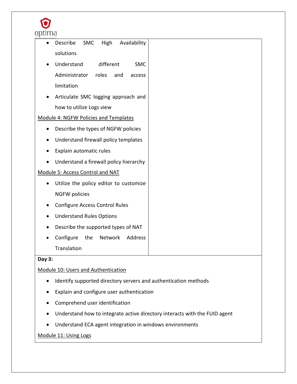

| Describe<br><b>SMC</b><br>High<br>Availability |  |  |  |
|------------------------------------------------|--|--|--|
| solutions                                      |  |  |  |
| Understand<br>different<br><b>SMC</b>          |  |  |  |
| Administrator<br>roles<br>and<br>access        |  |  |  |
| limitation                                     |  |  |  |
| Articulate SMC logging approach and            |  |  |  |
| how to utilize Logs view                       |  |  |  |
| Module 4: NGFW Policies and Templates          |  |  |  |
| Describe the types of NGFW policies            |  |  |  |
| Understand firewall policy templates           |  |  |  |
| Explain automatic rules                        |  |  |  |
| Understand a firewall policy hierarchy         |  |  |  |
| Module 5: Access Control and NAT               |  |  |  |
| Utilize the policy editor to customize         |  |  |  |
| <b>NGFW policies</b>                           |  |  |  |
| <b>Configure Access Control Rules</b>          |  |  |  |
| <b>Understand Rules Options</b>                |  |  |  |
| Describe the supported types of NAT            |  |  |  |
| Configure<br>the<br>Network<br>Address         |  |  |  |
| Translation                                    |  |  |  |
|                                                |  |  |  |

#### **Day 3:**

# Module 10: Users and Authentication

- Identify supported directory servers and authentication methods
- Explain and configure user authentication
- Comprehend user identification
- Understand how to integrate active directory interacts with the FUID agent
- Understand ECA agent integration in windows environments

# Module 11: Using Logs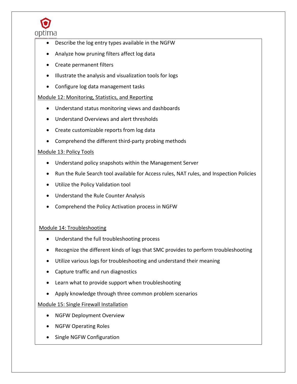

- Describe the log entry types available in the NGFW
- Analyze how pruning filters affect log data
- Create permanent filters
- Illustrate the analysis and visualization tools for logs
- Configure log data management tasks

## Module 12: Monitoring, Statistics, and Reporting

- Understand status monitoring views and dashboards
- Understand Overviews and alert thresholds
- Create customizable reports from log data
- Comprehend the different third-party probing methods

## Module 13: Policy Tools

- Understand policy snapshots within the Management Server
- Run the Rule Search tool available for Access rules, NAT rules, and Inspection Policies
- Utilize the Policy Validation tool
- Understand the Rule Counter Analysis
- Comprehend the Policy Activation process in NGFW

# Module 14: Troubleshooting

- Understand the full troubleshooting process
- Recognize the different kinds of logs that SMC provides to perform troubleshooting
- Utilize various logs for troubleshooting and understand their meaning
- Capture traffic and run diagnostics
- Learn what to provide support when troubleshooting
- Apply knowledge through three common problem scenarios

# Module 15: Single Firewall Installation

- NGFW Deployment Overview
- NGFW Operating Roles
- Single NGFW Configuration